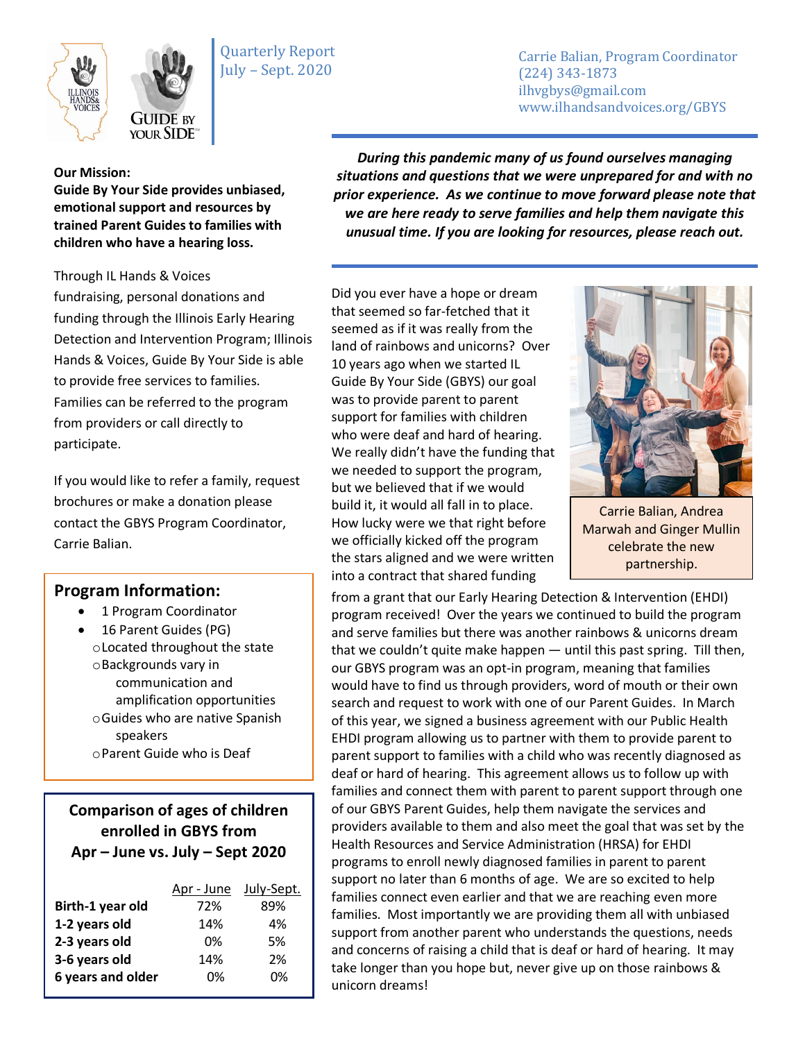



Quarterly Report July – Sept. 2020

Carrie Balian, Program Coordinator (224) 343-1873 ilhvgbys@gmail.com www.ilhandsandvoices.org/GBYS

## **Our Mission:**

**Guide By Your Side provides unbiased, emotional support and resources by trained Parent Guides to families with children who have a hearing loss.** 

**YOUR SIDE** 

Through IL Hands & Voices fundraising, personal donations and funding through the Illinois Early Hearing Detection and Intervention Program; Illinois Hands & Voices, Guide By Your Side is able to provide free services to families. Families can be referred to the program from providers or call directly to participate.

If you would like to refer a family, request brochures or make a donation please contact the GBYS Program Coordinator, Carrie Balian.

## **Program Information:**

- 1 Program Coordinator
- 16 Parent Guides (PG) oLocated throughout the state oBackgrounds vary in communication and amplification opportunities oGuides who are native Spanish speakers oParent Guide who is Deaf

**Comparison of ages of children enrolled in GBYS from Apr – June vs. July – Sept 2020**

|                   | Apr - June | July-Sept. |
|-------------------|------------|------------|
| Birth-1 year old  | 72%        | 89%        |
| 1-2 years old     | 14%        | 4%         |
| 2-3 years old     | በ%         | .5%        |
| 3-6 years old     | 14%        | 2%         |
| 6 years and older | በ%         | 0%         |

*During this pandemic many of us found ourselves managing situations and questions that we were unprepared for and with no prior experience. As we continue to move forward please note that we are here ready to serve families and help them navigate this unusual time. If you are looking for resources, please reach out.*

Did you ever have a hope or dream that seemed so far-fetched that it seemed as if it was really from the land of rainbows and unicorns? Over 10 years ago when we started IL Guide By Your Side (GBYS) our goal was to provide parent to parent support for families with children who were deaf and hard of hearing. We really didn't have the funding that we needed to support the program, but we believed that if we would build it, it would all fall in to place. How lucky were we that right before we officially kicked off the program the stars aligned and we were written into a contract that shared funding



Carrie Balian, Andrea Marwah and Ginger Mullin celebrate the new partnership.

from a grant that our Early Hearing Detection & Intervention (EHDI) program received! Over the years we continued to build the program and serve families but there was another rainbows & unicorns dream that we couldn't quite make happen — until this past spring. Till then, our GBYS program was an opt-in program, meaning that families would have to find us through providers, word of mouth or their own search and request to work with one of our Parent Guides. In March of this year, we signed a business agreement with our Public Health EHDI program allowing us to partner with them to provide parent to parent support to families with a child who was recently diagnosed as deaf or hard of hearing. This agreement allows us to follow up with families and connect them with parent to parent support through one of our GBYS Parent Guides, help them navigate the services and providers available to them and also meet the goal that was set by the Health Resources and Service Administration (HRSA) for EHDI programs to enroll newly diagnosed families in parent to parent support no later than 6 months of age. We are so excited to help families connect even earlier and that we are reaching even more families. Most importantly we are providing them all with unbiased support from another parent who understands the questions, needs and concerns of raising a child that is deaf or hard of hearing. It may take longer than you hope but, never give up on those rainbows & unicorn dreams!